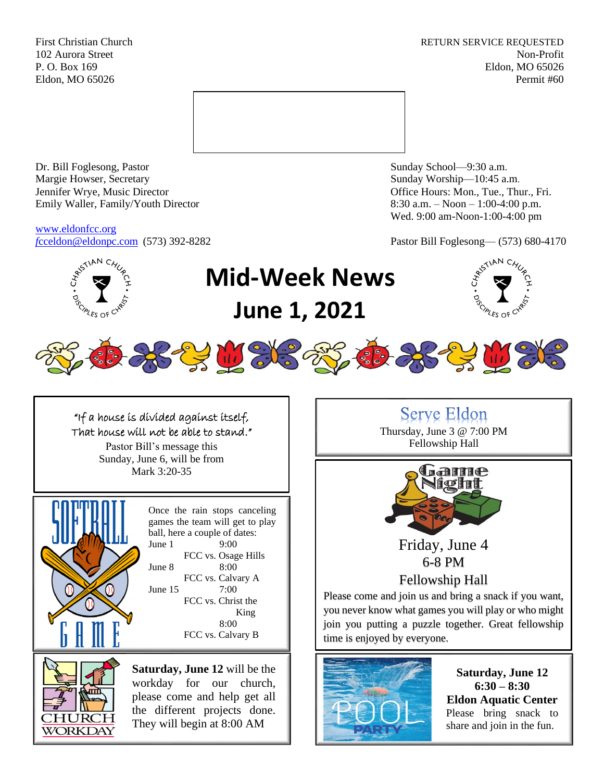First Christian Church **RETURN SERVICE REQUESTED** 102 Aurora Street Non-Profit P. O. Box 169 Eldon, MO 65026 Eldon, MO 65026 Permit #60



Dr. Bill Foglesong, Pastor Sunday School—9:30 a.m. Margie Howser, Secretary Sunday Worship—10:45 a.m. Jennifer Wrye, Music Director Office Hours: Mon., Tue., Thur., Fri. Emily Waller, Family/Youth Director 8:30 a.m. – Noon – 1:00-4:00 p.m.

[www.eldonfcc.org](http://www.eldonfcc.org/)

Wed. 9:00 am-Noon-1:00-4:00 pm

*f*[cceldon@eldonpc.com](mailto:fcceldon@eldonpc.com) (573) 392-8282 Pastor Bill Foglesong— (573) 680-4170



## "If a house is divided against itself, That house will not be able to stand."

Pastor Bill's message this Sunday, June 6, will be from Mark 3:20-35



Once the rain stops canceling games the team will get to play ball, here a couple of dates: June 1 9:00 FCC vs. Osage Hills June 8 8:00 FCC vs. Calvary A June 15 7:00 FCC vs. Christ the King 8:00 FCC vs. Calvary B



**Saturday, June 12** will be the workday for our church, please come and help get all the different projects done. They will begin at 8:00 AM

**Serve Eldon** Thursday, June 3 @ 7:00 PM Fellowship Hall



Friday, June 4 6-8 PM

Fellowship Hall

Please come and join us and bring a snack if you want, you never know what games you will play or who might join you putting a puzzle together. Great fellowship time is enjoyed by everyone.



**Saturday, June 12 6:30 – 8:30 Eldon Aquatic Center** Please bring snack to share and join in the fun.